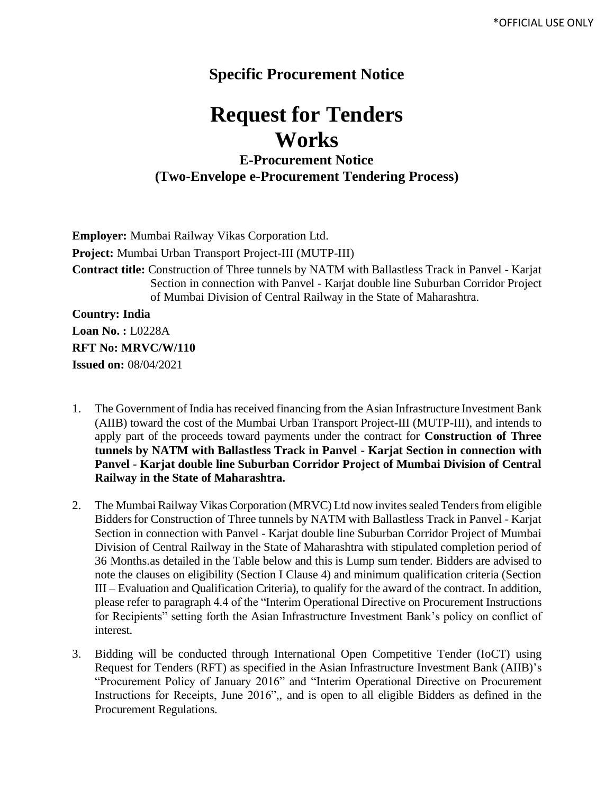## **Specific Procurement Notice**

## **Request for Tenders Works**

## **E-Procurement Notice (Two-Envelope e-Procurement Tendering Process)**

**Employer:** Mumbai Railway Vikas Corporation Ltd. **Project:** Mumbai Urban Transport Project-III (MUTP-III) **Contract title:** Construction of Three tunnels by NATM with Ballastless Track in Panvel - Karjat Section in connection with Panvel - Karjat double line Suburban Corridor Project of Mumbai Division of Central Railway in the State of Maharashtra. **Country: India Loan No. :** L0228A **RFT No: MRVC/W/110**

**Issued on:** 08/04/2021

- 1. The Government of India has received financing from the Asian Infrastructure Investment Bank (AIIB) toward the cost of the Mumbai Urban Transport Project-III (MUTP-III), and intends to apply part of the proceeds toward payments under the contract for **Construction of Three tunnels by NATM with Ballastless Track in Panvel - Karjat Section in connection with Panvel - Karjat double line Suburban Corridor Project of Mumbai Division of Central Railway in the State of Maharashtra.**
- 2. The Mumbai Railway Vikas Corporation (MRVC) Ltd now invites sealed Tenders from eligible Bidders for Construction of Three tunnels by NATM with Ballastless Track in Panvel - Karjat Section in connection with Panvel - Karjat double line Suburban Corridor Project of Mumbai Division of Central Railway in the State of Maharashtra with stipulated completion period of 36 Months.as detailed in the Table below and this is Lump sum tender. Bidders are advised to note the clauses on eligibility (Section I Clause 4) and minimum qualification criteria (Section III – Evaluation and Qualification Criteria), to qualify for the award of the contract. In addition, please refer to paragraph 4.4 of the "Interim Operational Directive on Procurement Instructions for Recipients" setting forth the Asian Infrastructure Investment Bank's policy on conflict of interest.
- 3. Bidding will be conducted through International Open Competitive Tender (IoCT) using Request for Tenders (RFT) as specified in the Asian Infrastructure Investment Bank (AIIB)'s "Procurement Policy of January 2016" and "Interim Operational Directive on Procurement Instructions for Receipts, June 2016",, and is open to all eligible Bidders as defined in the Procurement Regulations.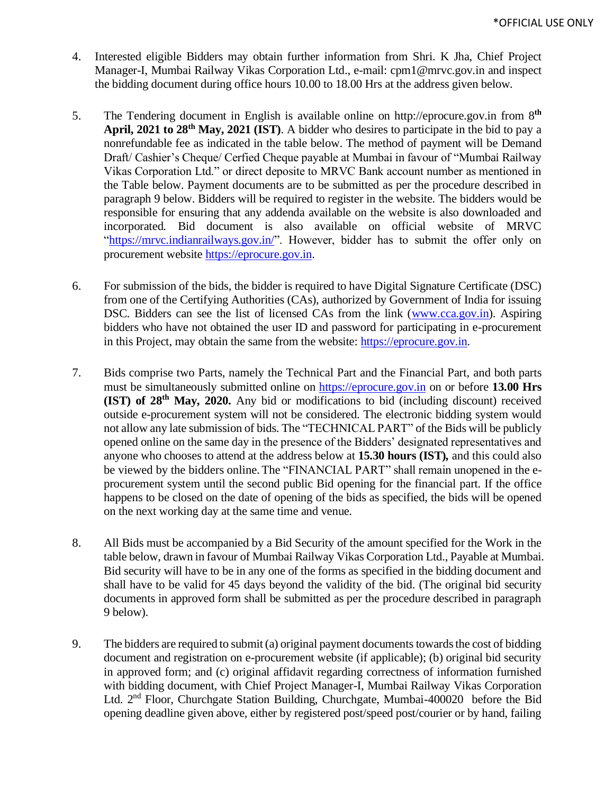- 4. Interested eligible Bidders may obtain further information from Shri. K Jha, Chief Project Manager-I, Mumbai Railway Vikas Corporation Ltd., e-mail: cpm1@mrvc.gov.in and inspect the bidding document during office hours 10.00 to 18.00 Hrs at the address given below*.*
- 5. The Tendering document in English is available online on http://eprocure.gov.in from 8 **th April, 2021 to 28th May, 2021 (IST)**. A bidder who desires to participate in the bid to pay a nonrefundable fee as indicated in the table below. The method of payment will be Demand Draft/ Cashier's Cheque/ Cerfied Cheque payable at Mumbai in favour of "Mumbai Railway Vikas Corporation Ltd." or direct deposite to MRVC Bank account number as mentioned in the Table below. Payment documents are to be submitted as per the procedure described in paragraph 9 below. Bidders will be required to register in the website. The bidders would be responsible for ensuring that any addenda available on the website is also downloaded and incorporated*.* Bid document is also available on official website of MRVC ["https://mrvc.indianrailways.gov.in/"](https://mrvc.indianrailways.gov.in/). However, bidder has to submit the offer only on procurement website [https://eprocure.gov.in.](https://eprocure.gov.in/)
- 6. For submission of the bids, the bidder is required to have Digital Signature Certificate (DSC) from one of the Certifying Authorities (CAs), authorized by Government of India for issuing DSC. Bidders can see the list of licensed CAs from the link [\(www.cca.gov.in\)](http://www.cca.gov.in/). Aspiring bidders who have not obtained the user ID and password for participating in e-procurement in this Project, may obtain the same from the website: [https://eprocure.gov.in.](https://eprocure.gov.in/)
- 7. Bids comprise two Parts, namely the Technical Part and the Financial Part, and both parts must be simultaneously submitted online on [https://eprocure.gov.in](https://eprocure.gov.in/) on or before **13.00 Hrs (IST) of 28th May, 2020.** Any bid or modifications to bid (including discount) received outside e-procurement system will not be considered. The electronic bidding system would not allow any late submission of bids. The "TECHNICAL PART" of the Bids will be publicly opened online on the same day in the presence of the Bidders' designated representatives and anyone who chooses to attend at the address below at **15.30 hours (IST)***,* and this could also be viewed by the bidders online.The "FINANCIAL PART" shall remain unopened in the eprocurement system until the second public Bid opening for the financial part. If the office happens to be closed on the date of opening of the bids as specified, the bids will be opened on the next working day at the same time and venue.
- 8. All Bids must be accompanied by a Bid Security of the amount specified for the Work in the table below, drawn in favour of Mumbai Railway Vikas Corporation Ltd., Payable at Mumbai. Bid security will have to be in any one of the forms as specified in the bidding document and shall have to be valid for 45 days beyond the validity of the bid. (The original bid security documents in approved form shall be submitted as per the procedure described in paragraph 9 below).
- 9. The bidders are required to submit (a) original payment documentstowards the cost of bidding document and registration on e-procurement website (if applicable); (b) original bid security in approved form; and (c) original affidavit regarding correctness of information furnished with bidding document, with Chief Project Manager-I, Mumbai Railway Vikas Corporation Ltd. 2nd Floor, Churchgate Station Building, Churchgate, Mumbai-400020 before the Bid opening deadline given above, either by registered post/speed post/courier or by hand, failing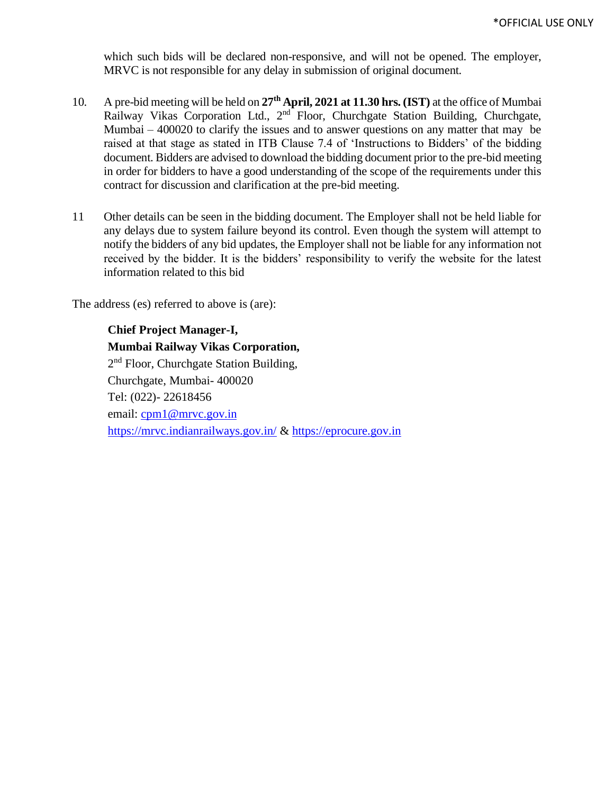which such bids will be declared non-responsive, and will not be opened. The employer, MRVC is not responsible for any delay in submission of original document.

- 10. A pre-bid meeting will be held on **27th April, 2021 at 11.30 hrs. (IST)** at the office of Mumbai Railway Vikas Corporation Ltd., 2<sup>nd</sup> Floor, Churchgate Station Building, Churchgate, Mumbai  $-400020$  to clarify the issues and to answer questions on any matter that may be raised at that stage as stated in ITB Clause 7.4 of 'Instructions to Bidders' of the bidding document. Bidders are advised to download the bidding document prior to the pre-bid meeting in order for bidders to have a good understanding of the scope of the requirements under this contract for discussion and clarification at the pre-bid meeting.
- 11 Other details can be seen in the bidding document. The Employer shall not be held liable for any delays due to system failure beyond its control. Even though the system will attempt to notify the bidders of any bid updates, the Employer shall not be liable for any information not received by the bidder. It is the bidders' responsibility to verify the website for the latest information related to this bid

The address (es) referred to above is (are):

**Chief Project Manager-I, Mumbai Railway Vikas Corporation,** 2<sup>nd</sup> Floor, Churchgate Station Building, Churchgate, Mumbai- 400020 Tel: (022)- 22618456 email: [cpm1@mrvc.gov.in](mailto:cpm1@mrvc.gov.in) <https://mrvc.indianrailways.gov.in/> & [https://eprocure.gov.in](https://eprocure.gov.in/)